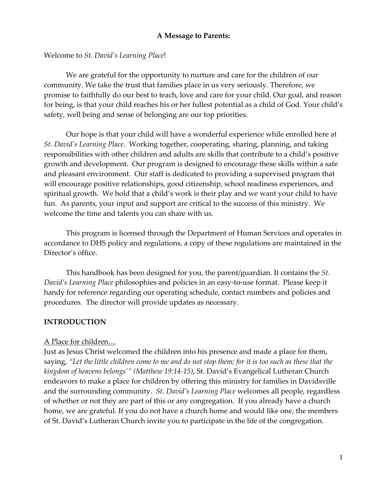#### **A Message to Parents:**

Welcome to *St. David's Learning Place*!

We are grateful for the opportunity to nurture and care for the children of our community. We take the trust that families place in us very seriously. Therefore, we promise to faithfully do our best to teach, love and care for your child. Our goal, and reason for being, is that your child reaches his or her fullest potential as a child of God. Your child's safety, well being and sense of belonging are our top priorities.

Our hope is that your child will have a wonderful experience while enrolled here at *St. David's Learning Place*. Working together, cooperating, sharing, planning, and taking responsibilities with other children and adults are skills that contribute to a child's positive growth and development. Our program is designed to encourage these skills within a safe and pleasant environment. Our staff is dedicated to providing a supervised program that will encourage positive relationships, good citizenship, school readiness experiences, and spiritual growth. We hold that a child's work is their play and we want your child to have fun. As parents, your input and support are critical to the success of this ministry. We welcome the time and talents you can share with us.

This program is licensed through the Department of Human Services and operates in accordance to DHS policy and regulations, a copy of these regulations are maintained in the Director's office.

This handbook has been designed for you, the parent/guardian. It contains the *St. David's Learning Place* philosophies and policies in an easy-to-use format. Please keep it handy for reference regarding our operating schedule, contact numbers and policies and procedures. The director will provide updates as necessary.

## **INTRODUCTION**

#### A Place for children…

Just as Jesus Christ welcomed the children into his presence and made a place for them, saying, "Let the little children come to me and do not stop them; for it is too such as these that the *kingdom of heavens belongs'" (Matthew 19:14-15)*, St. David's Evangelical Lutheran Church endeavors to make a place for children by offering this ministry for families in Davidsville and the surrounding community. *St. David's Learning Place* welcomes all people, regardless of whether or not they are part of this or any congregation. If you already have a church home, we are grateful. If you do not have a church home and would like one, the members of St. David's Lutheran Church invite you to participate in the life of the congregation.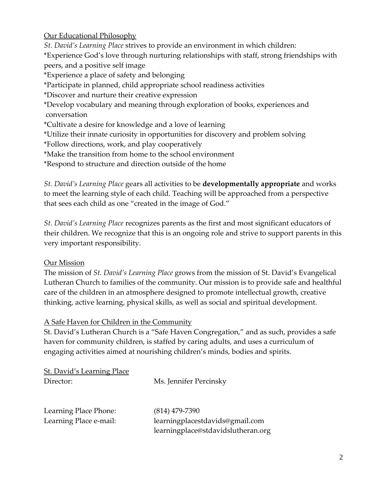Our Educational Philosophy

*St. David's Learning Place* strives to provide an environment in which children: \*Experience God's love through nurturing relationships with staff, strong friendships with peers, and a positive self image \*Experience a place of safety and belonging \*Participate in planned, child appropriate school readiness activities \*Discover and nurture their creative expression \*Develop vocabulary and meaning through exploration of books, experiences and conversation \*Cultivate a desire for knowledge and a love of learning \*Utilize their innate curiosity in opportunities for discovery and problem solving \*Follow directions, work, and play cooperatively \*Make the transition from home to the school environment \*Respond to structure and direction outside of the home

*St. David's Learning Place* gears all activities to be **developmentally appropriate** and works to meet the learning style of each child. Teaching will be approached from a perspective that sees each child as one "created in the image of God."

*St. David's Learning Place* recognizes parents as the first and most significant educators of their children. We recognize that this is an ongoing role and strive to support parents in this very important responsibility.

## Our Mission

The mission of *St. David's Learning Place* grows from the mission of St. David's Evangelical Lutheran Church to families of the community. Our mission is to provide safe and healthful care of the children in an atmosphere designed to promote intellectual growth, creative thinking, active learning, physical skills, as well as social and spiritual development.

## A Safe Haven for Children in the Community

St. David's Lutheran Church is a "Safe Haven Congregation," and as such, provides a safe haven for community children, is staffed by caring adults, and uses a curriculum of engaging activities aimed at nourishing children's minds, bodies and spirits.

| <b>St. David's Learning Place</b> |                                    |
|-----------------------------------|------------------------------------|
| Director:                         | Ms. Jennifer Percinsky             |
|                                   |                                    |
| Learning Place Phone:             | $(814)$ 479-7390                   |
| Learning Place e-mail:            | learningplacestdavids@gmail.com    |
|                                   | learningplace@stdavidslutheran.org |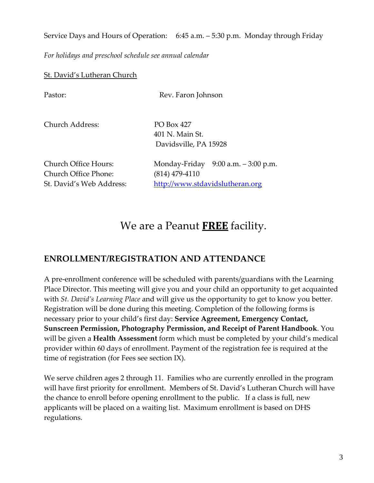Service Days and Hours of Operation: 6:45 a.m. – 5:30 p.m. Monday through Friday

*For holidays and preschool schedule see annual calendar*

#### St. David's Lutheran Church

| Pastor:                                                                  | Rev. Faron Johnson                                                                            |
|--------------------------------------------------------------------------|-----------------------------------------------------------------------------------------------|
| Church Address:                                                          | PO Box 427<br>401 N. Main St.<br>Davidsville, PA 15928                                        |
| Church Office Hours:<br>Church Office Phone:<br>St. David's Web Address: | Monday-Friday $9:00$ a.m. $-3:00$ p.m.<br>$(814)$ 479-4110<br>http://www.stdavidslutheran.org |

# We are a Peanut **FREE** facility.

# **ENROLLMENT/REGISTRATION AND ATTENDANCE**

A pre-enrollment conference will be scheduled with parents/guardians with the Learning Place Director. This meeting will give you and your child an opportunity to get acquainted with *St. David's Learning Place* and will give us the opportunity to get to know you better. Registration will be done during this meeting. Completion of the following forms is necessary prior to your child's first day: **Service Agreement, Emergency Contact, Sunscreen Permission, Photography Permission, and Receipt of Parent Handbook**. You will be given a **Health Assessment** form which must be completed by your child's medical provider within 60 days of enrollment. Payment of the registration fee is required at the time of registration (for Fees see section IX).

We serve children ages 2 through 11. Families who are currently enrolled in the program will have first priority for enrollment. Members of St. David's Lutheran Church will have the chance to enroll before opening enrollment to the public. If a class is full, new applicants will be placed on a waiting list. Maximum enrollment is based on DHS regulations.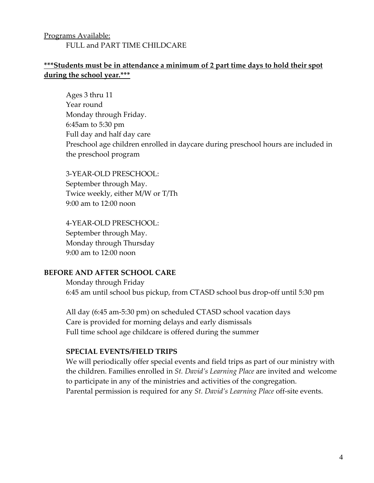# Programs Available: FULL and PART TIME CHILDCARE

# **\*\*\*Students must be in attendance a minimum of 2 part time days to hold their spot during the school year.\*\*\***

Ages 3 thru 11 Year round Monday through Friday. 6:45am to 5:30 pm Full day and half day care Preschool age children enrolled in daycare during preschool hours are included in the preschool program

3-YEAR-OLD PRESCHOOL: September through May. Twice weekly, either M/W or T/Th 9:00 am to 12:00 noon

4-YEAR-OLD PRESCHOOL: September through May. Monday through Thursday 9:00 am to 12:00 noon

## **BEFORE AND AFTER SCHOOL CARE**

Monday through Friday 6:45 am until school bus pickup, from CTASD school bus drop-off until 5:30 pm

All day (6:45 am-5:30 pm) on scheduled CTASD school vacation days Care is provided for morning delays and early dismissals Full time school age childcare is offered during the summer

#### **SPECIAL EVENTS/FIELD TRIPS**

We will periodically offer special events and field trips as part of our ministry with the children. Families enrolled in *St. David's Learning Place* are invited and welcome to participate in any of the ministries and activities of the congregation. Parental permission is required for any *St. David's Learning Place* off-site events.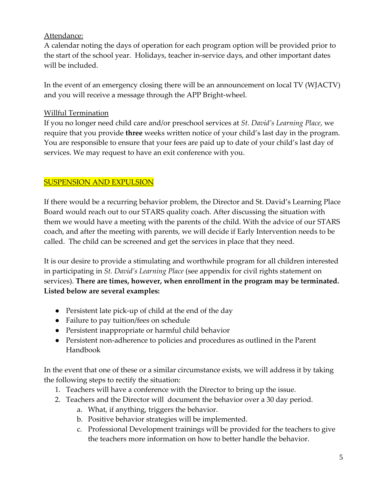# Attendance:

A calendar noting the days of operation for each program option will be provided prior to the start of the school year. Holidays, teacher in-service days, and other important dates will be included.

In the event of an emergency closing there will be an announcement on local TV (WJACTV) and you will receive a message through the APP Bright-wheel.

# Willful Termination

If you no longer need child care and/or preschool services at *St. David's Learning Place*, we require that you provide **three** weeks written notice of your child's last day in the program. You are responsible to ensure that your fees are paid up to date of your child's last day of services. We may request to have an exit conference with you.

# SUSPENSION AND EXPULSION

If there would be a recurring behavior problem, the Director and St. David's Learning Place Board would reach out to our STARS quality coach. After discussing the situation with them we would have a meeting with the parents of the child. With the advice of our STARS coach, and after the meeting with parents, we will decide if Early Intervention needs to be called. The child can be screened and get the services in place that they need.

It is our desire to provide a stimulating and worthwhile program for all children interested in participating in *St. David's Learning Place* (see appendix for civil rights statement on services). **There are times, however, when enrollment in the program may be terminated. Listed below are several examples:**

- Persistent late pick-up of child at the end of the day
- Failure to pay tuition/fees on schedule
- Persistent inappropriate or harmful child behavior
- Persistent non-adherence to policies and procedures as outlined in the Parent Handbook

In the event that one of these or a similar circumstance exists, we will address it by taking the following steps to rectify the situation:

- 1. Teachers will have a conference with the Director to bring up the issue.
- 2. Teachers and the Director will document the behavior over a 30 day period.
	- a. What, if anything, triggers the behavior.
	- b. Positive behavior strategies will be implemented.
	- c. Professional Development trainings will be provided for the teachers to give the teachers more information on how to better handle the behavior.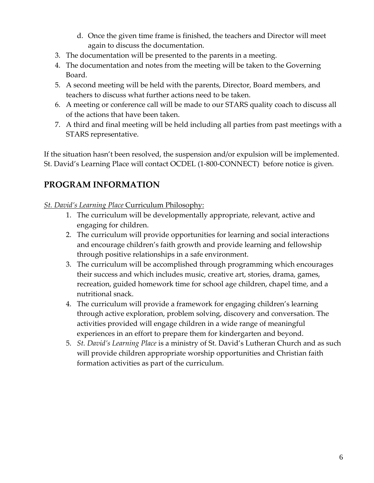- d. Once the given time frame is finished, the teachers and Director will meet again to discuss the documentation.
- 3. The documentation will be presented to the parents in a meeting.
- 4. The documentation and notes from the meeting will be taken to the Governing Board.
- 5. A second meeting will be held with the parents, Director, Board members, and teachers to discuss what further actions need to be taken.
- 6. A meeting or conference call will be made to our STARS quality coach to discuss all of the actions that have been taken.
- 7. A third and final meeting will be held including all parties from past meetings with a STARS representative.

If the situation hasn't been resolved, the suspension and/or expulsion will be implemented. St. David's Learning Place will contact OCDEL (1-800-CONNECT) before notice is given.

# **PROGRAM INFORMATION**

*St. David's Learning Place* Curriculum Philosophy:

- 1. The curriculum will be developmentally appropriate, relevant, active and engaging for children.
- 2. The curriculum will provide opportunities for learning and social interactions and encourage children's faith growth and provide learning and fellowship through positive relationships in a safe environment.
- 3. The curriculum will be accomplished through programming which encourages their success and which includes music, creative art, stories, drama, games, recreation, guided homework time for school age children, chapel time, and a nutritional snack.
- 4. The curriculum will provide a framework for engaging children's learning through active exploration, problem solving, discovery and conversation. The activities provided will engage children in a wide range of meaningful experiences in an effort to prepare them for kindergarten and beyond.
- 5. *St. David's Learning Place* is a ministry of St. David's Lutheran Church and as such will provide children appropriate worship opportunities and Christian faith formation activities as part of the curriculum.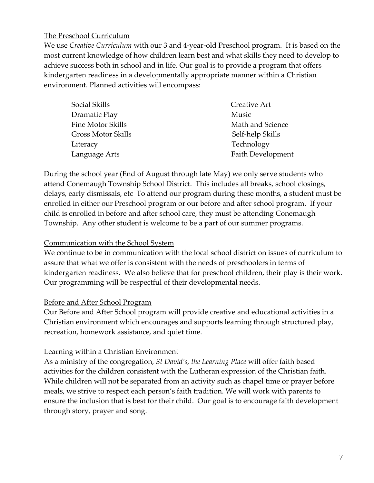## The Preschool Curriculum

We use *Creative Curriculum* with our 3 and 4-year-old Preschool program. It is based on the most current knowledge of how children learn best and what skills they need to develop to achieve success both in school and in life. Our goal is to provide a program that offers kindergarten readiness in a developmentally appropriate manner within a Christian environment. Planned activities will encompass:

| Social Skills             | Creative Art             |  |
|---------------------------|--------------------------|--|
| Dramatic Play             | Music                    |  |
| Fine Motor Skills         | Math and Science         |  |
| <b>Gross Motor Skills</b> | Self-help Skills         |  |
| Literacy                  | Technology               |  |
| Language Arts             | <b>Faith Development</b> |  |

During the school year (End of August through late May) we only serve students who attend Conemaugh Township School District. This includes all breaks, school closings, delays, early dismissals, etc To attend our program during these months, a student must be enrolled in either our Preschool program or our before and after school program. If your child is enrolled in before and after school care, they must be attending Conemaugh Township. Any other student is welcome to be a part of our summer programs.

## Communication with the School System

We continue to be in communication with the local school district on issues of curriculum to assure that what we offer is consistent with the needs of preschoolers in terms of kindergarten readiness. We also believe that for preschool children, their play is their work. Our programming will be respectful of their developmental needs.

## Before and After School Program

Our Before and After School program will provide creative and educational activities in a Christian environment which encourages and supports learning through structured play, recreation, homework assistance, and quiet time.

## Learning within a Christian Environment

As a ministry of the congregation, *St David's, the Learning Place* will offer faith based activities for the children consistent with the Lutheran expression of the Christian faith. While children will not be separated from an activity such as chapel time or prayer before meals, we strive to respect each person's faith tradition. We will work with parents to ensure the inclusion that is best for their child. Our goal is to encourage faith development through story, prayer and song.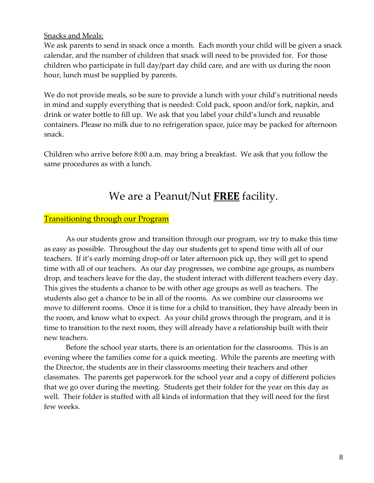#### Snacks and Meals:

We ask parents to send in snack once a month. Each month your child will be given a snack calendar, and the number of children that snack will need to be provided for. For those children who participate in full day/part day child care, and are with us during the noon hour, lunch must be supplied by parents.

We do not provide meals, so be sure to provide a lunch with your child's nutritional needs in mind and supply everything that is needed: Cold pack, spoon and/or fork, napkin, and drink or water bottle to fill up. We ask that you label your child's lunch and reusable containers. Please no milk due to no refrigeration space, juice may be packed for afternoon snack.

Children who arrive before 8:00 a.m. may bring a breakfast. We ask that you follow the same procedures as with a lunch.

# We are a Peanut/Nut **FREE** facility.

#### Transitioning through our Program

As our students grow and transition through our program, we try to make this time as easy as possible. Throughout the day our students get to spend time with all of our teachers. If it's early morning drop-off or later afternoon pick up, they will get to spend time with all of our teachers. As our day progresses, we combine age groups, as numbers drop, and teachers leave for the day, the student interact with different teachers every day. This gives the students a chance to be with other age groups as well as teachers. The students also get a chance to be in all of the rooms. As we combine our classrooms we move to different rooms. Once it is time for a child to transition, they have already been in the room, and know what to expect. As your child grows through the program, and it is time to transition to the next room, they will already have a relationship built with their new teachers.

Before the school year starts, there is an orientation for the classrooms. This is an evening where the families come for a quick meeting. While the parents are meeting with the Director, the students are in their classrooms meeting their teachers and other classmates. The parents get paperwork for the school year and a copy of different policies that we go over during the meeting. Students get their folder for the year on this day as well. Their folder is stuffed with all kinds of information that they will need for the first few weeks.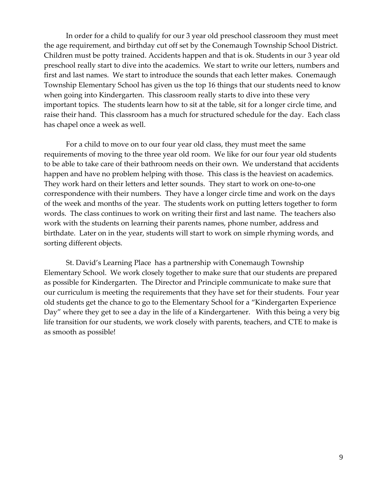In order for a child to qualify for our 3 year old preschool classroom they must meet the age requirement, and birthday cut off set by the Conemaugh Township School District. Children must be potty trained. Accidents happen and that is ok. Students in our 3 year old preschool really start to dive into the academics. We start to write our letters, numbers and first and last names. We start to introduce the sounds that each letter makes. Conemaugh Township Elementary School has given us the top 16 things that our students need to know when going into Kindergarten. This classroom really starts to dive into these very important topics. The students learn how to sit at the table, sit for a longer circle time, and raise their hand. This classroom has a much for structured schedule for the day. Each class has chapel once a week as well.

For a child to move on to our four year old class, they must meet the same requirements of moving to the three year old room. We like for our four year old students to be able to take care of their bathroom needs on their own. We understand that accidents happen and have no problem helping with those. This class is the heaviest on academics. They work hard on their letters and letter sounds. They start to work on one-to-one correspondence with their numbers. They have a longer circle time and work on the days of the week and months of the year. The students work on putting letters together to form words. The class continues to work on writing their first and last name. The teachers also work with the students on learning their parents names, phone number, address and birthdate. Later on in the year, students will start to work on simple rhyming words, and sorting different objects.

St. David's Learning Place has a partnership with Conemaugh Township Elementary School. We work closely together to make sure that our students are prepared as possible for Kindergarten. The Director and Principle communicate to make sure that our curriculum is meeting the requirements that they have set for their students. Four year old students get the chance to go to the Elementary School for a "Kindergarten Experience Day" where they get to see a day in the life of a Kindergartener. With this being a very big life transition for our students, we work closely with parents, teachers, and CTE to make is as smooth as possible!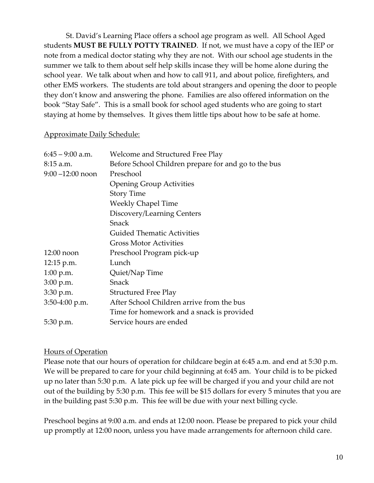St. David's Learning Place offers a school age program as well. All School Aged students **MUST BE FULLY POTTY TRAINED**. If not, we must have a copy of the IEP or note from a medical doctor stating why they are not. With our school age students in the summer we talk to them about self help skills incase they will be home alone during the school year. We talk about when and how to call 911, and about police, firefighters, and other EMS workers. The students are told about strangers and opening the door to people they don't know and answering the phone. Families are also offered information on the book "Stay Safe". This is a small book for school aged students who are going to start staying at home by themselves. It gives them little tips about how to be safe at home.

#### Approximate Daily Schedule:

| $6:45 - 9:00$ a.m.  | Welcome and Structured Free Play                     |
|---------------------|------------------------------------------------------|
| 8:15 a.m.           | Before School Children prepare for and go to the bus |
| $9:00 - 12:00$ noon | Preschool                                            |
|                     | <b>Opening Group Activities</b>                      |
|                     | <b>Story Time</b>                                    |
|                     | <b>Weekly Chapel Time</b>                            |
|                     | Discovery/Learning Centers                           |
|                     | Snack                                                |
|                     | <b>Guided Thematic Activities</b>                    |
|                     | Gross Motor Activities                               |
| $12:00$ noon        | Preschool Program pick-up                            |
| 12:15 p.m.          | Lunch                                                |
| $1:00$ p.m.         | Quiet/Nap Time                                       |
| $3:00$ p.m.         | Snack                                                |
| $3:30$ p.m.         | <b>Structured Free Play</b>                          |
| 3:50-4:00 p.m.      | After School Children arrive from the bus            |
|                     | Time for homework and a snack is provided            |
| 5:30 p.m.           | Service hours are ended                              |

#### Hours of Operation

Please note that our hours of operation for childcare begin at 6:45 a.m. and end at 5:30 p.m. We will be prepared to care for your child beginning at 6:45 am. Your child is to be picked up no later than 5:30 p.m. A late pick up fee will be charged if you and your child are not out of the building by 5:30 p.m. This fee will be \$15 dollars for every 5 minutes that you are in the building past 5:30 p.m. This fee will be due with your next billing cycle.

Preschool begins at 9:00 a.m. and ends at 12:00 noon. Please be prepared to pick your child up promptly at 12:00 noon, unless you have made arrangements for afternoon child care.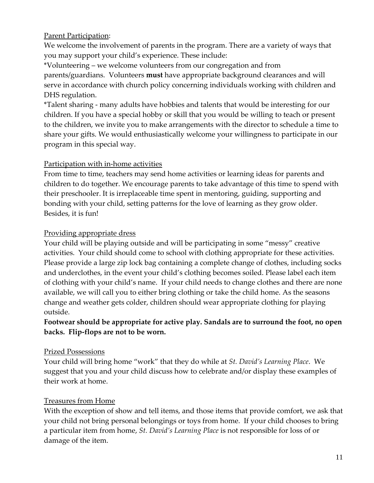# Parent Participation:

We welcome the involvement of parents in the program. There are a variety of ways that you may support your child's experience. These include:

\*Volunteering – we welcome volunteers from our congregation and from parents/guardians. Volunteers **must** have appropriate background clearances and will serve in accordance with church policy concerning individuals working with children and DHS regulation.

\*Talent sharing - many adults have hobbies and talents that would be interesting for our children. If you have a special hobby or skill that you would be willing to teach or present to the children, we invite you to make arrangements with the director to schedule a time to share your gifts. We would enthusiastically welcome your willingness to participate in our program in this special way.

# Participation with in-home activities

From time to time, teachers may send home activities or learning ideas for parents and children to do together. We encourage parents to take advantage of this time to spend with their preschooler. It is irreplaceable time spent in mentoring, guiding, supporting and bonding with your child, setting patterns for the love of learning as they grow older. Besides, it is fun!

# Providing appropriate dress

Your child will be playing outside and will be participating in some "messy" creative activities. Your child should come to school with clothing appropriate for these activities. Please provide a large zip lock bag containing a complete change of clothes, including socks and underclothes, in the event your child's clothing becomes soiled. Please label each item of clothing with your child's name. If your child needs to change clothes and there are none available, we will call you to either bring clothing or take the child home. As the seasons change and weather gets colder, children should wear appropriate clothing for playing outside.

# **Footwear should be appropriate for active play. Sandals are to surround the foot, no open backs. Flip-flops are not to be worn.**

# Prized Possessions

Your child will bring home "work" that they do while at *St. David's Learning Place*. We suggest that you and your child discuss how to celebrate and/or display these examples of their work at home.

# Treasures from Home

With the exception of show and tell items, and those items that provide comfort, we ask that your child not bring personal belongings or toys from home. If your child chooses to bring a particular item from home, *St. David's Learning Place* is not responsible for loss of or damage of the item.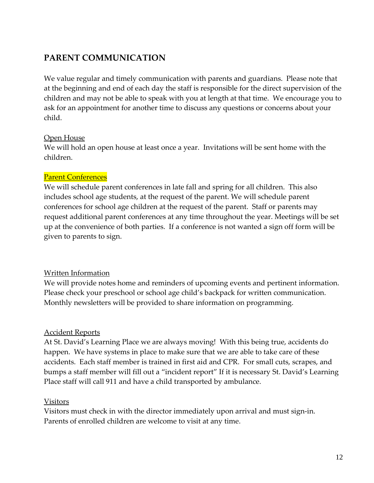# **PARENT COMMUNICATION**

We value regular and timely communication with parents and guardians. Please note that at the beginning and end of each day the staff is responsible for the direct supervision of the children and may not be able to speak with you at length at that time. We encourage you to ask for an appointment for another time to discuss any questions or concerns about your child.

# Open House

We will hold an open house at least once a year. Invitations will be sent home with the children.

# Parent Conferences

We will schedule parent conferences in late fall and spring for all children. This also includes school age students, at the request of the parent. We will schedule parent conferences for school age children at the request of the parent. Staff or parents may request additional parent conferences at any time throughout the year. Meetings will be set up at the convenience of both parties. If a conference is not wanted a sign off form will be given to parents to sign.

## Written Information

We will provide notes home and reminders of upcoming events and pertinent information. Please check your preschool or school age child's backpack for written communication. Monthly newsletters will be provided to share information on programming.

# Accident Reports

At St. David's Learning Place we are always moving! With this being true, accidents do happen. We have systems in place to make sure that we are able to take care of these accidents. Each staff member is trained in first aid and CPR. For small cuts, scrapes, and bumps a staff member will fill out a "incident report" If it is necessary St. David's Learning Place staff will call 911 and have a child transported by ambulance.

## Visitors

Visitors must check in with the director immediately upon arrival and must sign-in. Parents of enrolled children are welcome to visit at any time.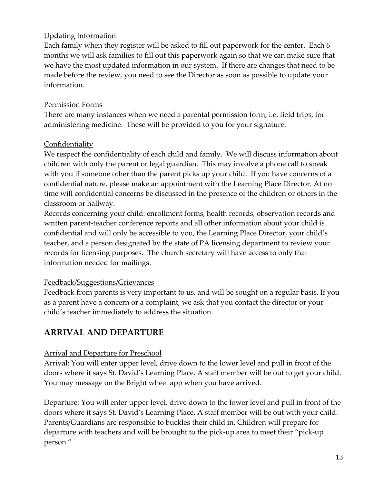# Updating Information

Each family when they register will be asked to fill out paperwork for the center. Each 6 months we will ask families to fill out this paperwork again so that we can make sure that we have the most updated information in our system. If there are changes that need to be made before the review, you need to see the Director as soon as possible to update your information.

## Permission Forms

There are many instances when we need a parental permission form, i.e. field trips, for administering medicine. These will be provided to you for your signature.

# **Confidentiality**

We respect the confidentiality of each child and family. We will discuss information about children with only the parent or legal guardian. This may involve a phone call to speak with you if someone other than the parent picks up your child. If you have concerns of a confidential nature, please make an appointment with the Learning Place Director. At no time will confidential concerns be discussed in the presence of the children or others in the classroom or hallway.

Records concerning your child: enrollment forms, health records, observation records and written parent-teacher conference reports and all other information about your child is confidential and will only be accessible to you, the Learning Place Director, your child's teacher, and a person designated by the state of PA licensing department to review your records for licensing purposes. The church secretary will have access to only that information needed for mailings.

## Feedback/Suggestions/Grievances

Feedback from parents is very important to us, and will be sought on a regular basis. If you as a parent have a concern or a complaint, we ask that you contact the director or your child's teacher immediately to address the situation.

# **ARRIVAL AND DEPARTURE**

# Arrival and Departure for Preschool

Arrival: You will enter upper level, drive down to the lower level and pull in front of the doors where it says St. David's Learning Place. A staff member will be out to get your child. You may message on the Bright wheel app when you have arrived.

Departure: You will enter upper level, drive down to the lower level and pull in front of the doors where it says St. David's Learning Place. A staff member will be out with your child. Parents/Guardians are responsible to buckles their child in. Children will prepare for departure with teachers and will be brought to the pick-up area to meet their "pick-up person."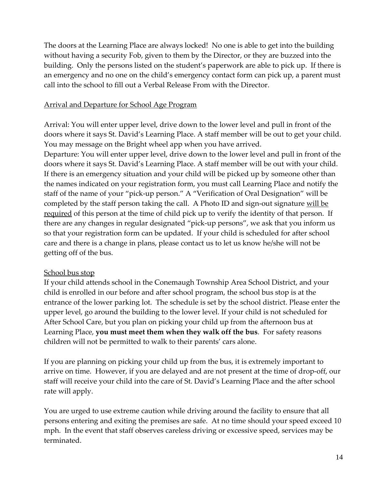The doors at the Learning Place are always locked! No one is able to get into the building without having a security Fob, given to them by the Director, or they are buzzed into the building. Only the persons listed on the student's paperwork are able to pick up. If there is an emergency and no one on the child's emergency contact form can pick up, a parent must call into the school to fill out a Verbal Release From with the Director.

#### Arrival and Departure for School Age Program

Arrival: You will enter upper level, drive down to the lower level and pull in front of the doors where it says St. David's Learning Place. A staff member will be out to get your child. You may message on the Bright wheel app when you have arrived.

Departure: You will enter upper level, drive down to the lower level and pull in front of the doors where it says St. David's Learning Place. A staff member will be out with your child. If there is an emergency situation and your child will be picked up by someone other than the names indicated on your registration form, you must call Learning Place and notify the staff of the name of your "pick-up person." A "Verification of Oral Designation" will be completed by the staff person taking the call. A Photo ID and sign-out signature will be required of this person at the time of child pick up to verify the identity of that person. If there are any changes in regular designated "pick-up persons", we ask that you inform us so that your registration form can be updated. If your child is scheduled for after school care and there is a change in plans, please contact us to let us know he/she will not be getting off of the bus.

## School bus stop

If your child attends school in the Conemaugh Township Area School District, and your child is enrolled in our before and after school program, the school bus stop is at the entrance of the lower parking lot. The schedule is set by the school district. Please enter the upper level, go around the building to the lower level. If your child is not scheduled for After School Care, but you plan on picking your child up from the afternoon bus at Learning Place, **you must meet them when they walk off the bus**. For safety reasons children will not be permitted to walk to their parents' cars alone.

If you are planning on picking your child up from the bus, it is extremely important to arrive on time. However, if you are delayed and are not present at the time of drop-off, our staff will receive your child into the care of St. David's Learning Place and the after school rate will apply.

You are urged to use extreme caution while driving around the facility to ensure that all persons entering and exiting the premises are safe. At no time should your speed exceed 10 mph. In the event that staff observes careless driving or excessive speed, services may be terminated.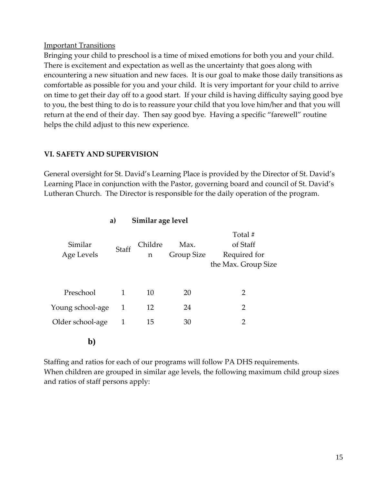#### Important Transitions

Bringing your child to preschool is a time of mixed emotions for both you and your child. There is excitement and expectation as well as the uncertainty that goes along with encountering a new situation and new faces. It is our goal to make those daily transitions as comfortable as possible for you and your child. It is very important for your child to arrive on time to get their day off to a good start. If your child is having difficulty saying good bye to you, the best thing to do is to reassure your child that you love him/her and that you will return at the end of their day. Then say good bye. Having a specific "farewell" routine helps the child adjust to this new experience.

# **VI. SAFETY AND SUPERVISION**

General oversight for St. David's Learning Place is provided by the Director of St. David's Learning Place in conjunction with the Pastor, governing board and council of St. David's Lutheran Church. The Director is responsible for the daily operation of the program.

| Similar age level<br>a) |              |              |                    |                                                            |
|-------------------------|--------------|--------------|--------------------|------------------------------------------------------------|
| Similar<br>Age Levels   | Staff        | Childre<br>n | Max.<br>Group Size | Total #<br>of Staff<br>Required for<br>the Max. Group Size |
| Preschool               | 1            | 10           | 20                 | 2                                                          |
| Young school-age        | 1            | 12           | 24                 | $\overline{2}$                                             |
| Older school-age        | $\mathbf{1}$ | 15           | 30                 | 2                                                          |
| $\mathbf{b}$            |              |              |                    |                                                            |

Staffing and ratios for each of our programs will follow PA DHS requirements. When children are grouped in similar age levels, the following maximum child group sizes and ratios of staff persons apply: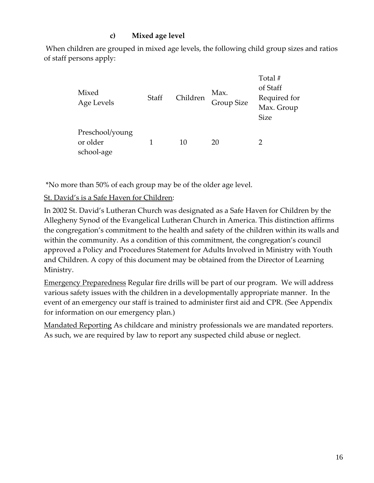# **c) Mixed age level**

When children are grouped in mixed age levels, the following child group sizes and ratios of staff persons apply:

| Mixed<br>Age Levels                       | Staff | Children | Max.<br><b>Group Size</b> | Total #<br>of Staff<br>Required for<br>Max. Group<br><b>Size</b> |
|-------------------------------------------|-------|----------|---------------------------|------------------------------------------------------------------|
| Preschool/young<br>or older<br>school-age |       | 10       | 20                        |                                                                  |

\*No more than 50% of each group may be of the older age level.

# St. David's is a Safe Haven for Children:

In 2002 St. David's Lutheran Church was designated as a Safe Haven for Children by the Allegheny Synod of the Evangelical Lutheran Church in America. This distinction affirms the congregation's commitment to the health and safety of the children within its walls and within the community. As a condition of this commitment, the congregation's council approved a Policy and Procedures Statement for Adults Involved in Ministry with Youth and Children. A copy of this document may be obtained from the Director of Learning Ministry.

Emergency Preparedness Regular fire drills will be part of our program. We will address various safety issues with the children in a developmentally appropriate manner. In the event of an emergency our staff is trained to administer first aid and CPR. (See Appendix for information on our emergency plan.)

Mandated Reporting As childcare and ministry professionals we are mandated reporters. As such, we are required by law to report any suspected child abuse or neglect.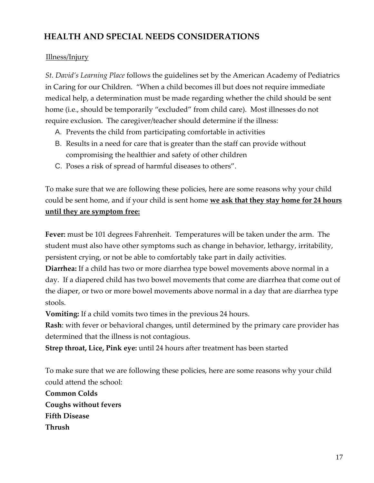# **HEALTH AND SPECIAL NEEDS CONSIDERATIONS**

# Illness/Injury

*St. David's Learning Place* follows the guidelines set by the American Academy of Pediatrics in Caring for our Children. "When a child becomes ill but does not require immediate medical help, a determination must be made regarding whether the child should be sent home (i.e., should be temporarily "excluded" from child care). Most illnesses do not require exclusion. The caregiver/teacher should determine if the illness:

- A. Prevents the child from participating comfortable in activities
- B. Results in a need for care that is greater than the staff can provide without compromising the healthier and safety of other children
- C. Poses a risk of spread of harmful diseases to others".

To make sure that we are following these policies, here are some reasons why your child could be sent home, and if your child is sent home **we ask that they stay home for 24 hours until they are symptom free:**

**Fever:** must be 101 degrees Fahrenheit. Temperatures will be taken under the arm. The student must also have other symptoms such as change in behavior, lethargy, irritability, persistent crying, or not be able to comfortably take part in daily activities.

**Diarrhea:** If a child has two or more diarrhea type bowel movements above normal in a day. If a diapered child has two bowel movements that come are diarrhea that come out of the diaper, or two or more bowel movements above normal in a day that are diarrhea type stools.

**Vomiting:** If a child vomits two times in the previous 24 hours.

**Rash**: with fever or behavioral changes, until determined by the primary care provider has determined that the illness is not contagious.

**Strep throat, Lice, Pink eye:** until 24 hours after treatment has been started

To make sure that we are following these policies, here are some reasons why your child could attend the school:

**Common Colds Coughs without fevers Fifth Disease Thrush**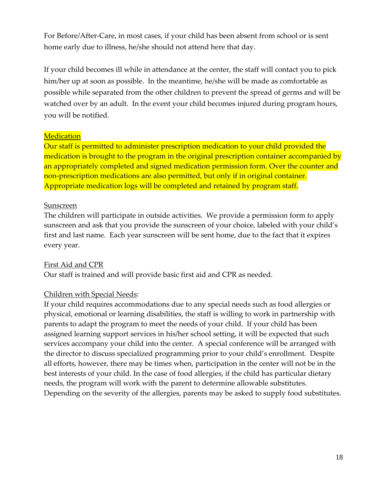For Before/After-Care, in most cases, if your child has been absent from school or is sent home early due to illness, he/she should not attend here that day.

If your child becomes ill while in attendance at the center, the staff will contact you to pick him/her up at soon as possible. In the meantime, he/she will be made as comfortable as possible while separated from the other children to prevent the spread of germs and will be watched over by an adult. In the event your child becomes injured during program hours, you will be notified.

# **Medication**

Our staff is permitted to administer prescription medication to your child provided the medication is brought to the program in the original prescription container accompanied by an appropriately completed and signed medication permission form. Over the counter and non-prescription medications are also permitted, but only if in original container. Appropriate medication logs will be completed and retained by program staff.

# Sunscreen

The children will participate in outside activities. We provide a permission form to apply sunscreen and ask that you provide the sunscreen of your choice, labeled with your child's first and last name. Each year sunscreen will be sent home, due to the fact that it expires every year.

## First Aid and CPR

Our staff is trained and will provide basic first aid and CPR as needed.

## Children with Special Needs:

If your child requires accommodations due to any special needs such as food allergies or physical, emotional or learning disabilities, the staff is willing to work in partnership with parents to adapt the program to meet the needs of your child. If your child has been assigned learning support services in his/her school setting, it will be expected that such services accompany your child into the center. A special conference will be arranged with the director to discuss specialized programming prior to your child's enrollment. Despite all efforts, however, there may be times when, participation in the center will not be in the best interests of your child. In the case of food allergies, if the child has particular dietary needs, the program will work with the parent to determine allowable substitutes. Depending on the severity of the allergies, parents may be asked to supply food substitutes.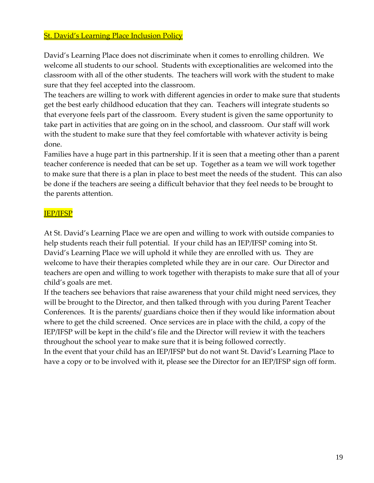# St. David's Learning Place Inclusion Policy

David's Learning Place does not discriminate when it comes to enrolling children. We welcome all students to our school. Students with exceptionalities are welcomed into the classroom with all of the other students. The teachers will work with the student to make sure that they feel accepted into the classroom.

The teachers are willing to work with different agencies in order to make sure that students get the best early childhood education that they can. Teachers will integrate students so that everyone feels part of the classroom. Every student is given the same opportunity to take part in activities that are going on in the school, and classroom. Our staff will work with the student to make sure that they feel comfortable with whatever activity is being done.

Families have a huge part in this partnership. If it is seen that a meeting other than a parent teacher conference is needed that can be set up. Together as a team we will work together to make sure that there is a plan in place to best meet the needs of the student. This can also be done if the teachers are seeing a difficult behavior that they feel needs to be brought to the parents attention.

## IEP/IFSP

At St. David's Learning Place we are open and willing to work with outside companies to help students reach their full potential. If your child has an IEP/IFSP coming into St. David's Learning Place we will uphold it while they are enrolled with us. They are welcome to have their therapies completed while they are in our care. Our Director and teachers are open and willing to work together with therapists to make sure that all of your child's goals are met.

If the teachers see behaviors that raise awareness that your child might need services, they will be brought to the Director, and then talked through with you during Parent Teacher Conferences. It is the parents/ guardians choice then if they would like information about where to get the child screened. Once services are in place with the child, a copy of the IEP/IFSP will be kept in the child's file and the Director will review it with the teachers throughout the school year to make sure that it is being followed correctly.

In the event that your child has an IEP/IFSP but do not want St. David's Learning Place to have a copy or to be involved with it, please see the Director for an IEP/IFSP sign off form.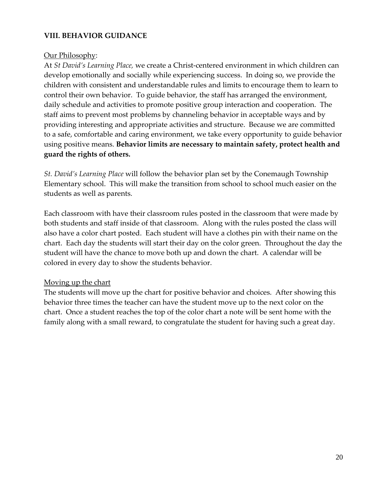# **VIII. BEHAVIOR GUIDANCE**

#### Our Philosophy:

At *St David's Learning Place,* we create a Christ-centered environment in which children can develop emotionally and socially while experiencing success. In doing so, we provide the children with consistent and understandable rules and limits to encourage them to learn to control their own behavior. To guide behavior, the staff has arranged the environment, daily schedule and activities to promote positive group interaction and cooperation. The staff aims to prevent most problems by channeling behavior in acceptable ways and by providing interesting and appropriate activities and structure. Because we are committed to a safe, comfortable and caring environment, we take every opportunity to guide behavior using positive means. **Behavior limits are necessary to maintain safety, protect health and guard the rights of others.**

*St. David's Learning Place* will follow the behavior plan set by the Conemaugh Township Elementary school. This will make the transition from school to school much easier on the students as well as parents.

Each classroom with have their classroom rules posted in the classroom that were made by both students and staff inside of that classroom. Along with the rules posted the class will also have a color chart posted. Each student will have a clothes pin with their name on the chart. Each day the students will start their day on the color green. Throughout the day the student will have the chance to move both up and down the chart. A calendar will be colored in every day to show the students behavior.

#### Moving up the chart

The students will move up the chart for positive behavior and choices. After showing this behavior three times the teacher can have the student move up to the next color on the chart. Once a student reaches the top of the color chart a note will be sent home with the family along with a small reward, to congratulate the student for having such a great day.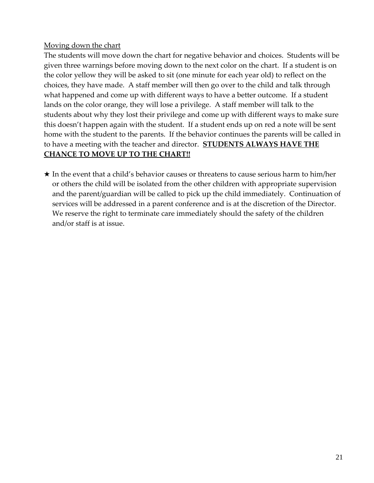# Moving down the chart

The students will move down the chart for negative behavior and choices. Students will be given three warnings before moving down to the next color on the chart. If a student is on the color yellow they will be asked to sit (one minute for each year old) to reflect on the choices, they have made. A staff member will then go over to the child and talk through what happened and come up with different ways to have a better outcome. If a student lands on the color orange, they will lose a privilege. A staff member will talk to the students about why they lost their privilege and come up with different ways to make sure this doesn't happen again with the student. If a student ends up on red a note will be sent home with the student to the parents. If the behavior continues the parents will be called in to have a meeting with the teacher and director. **STUDENTS ALWAYS HAVE THE CHANCE TO MOVE UP TO THE CHART!!**

★ In the event that a child's behavior causes or threatens to cause serious harm to him/her or others the child will be isolated from the other children with appropriate supervision and the parent/guardian will be called to pick up the child immediately. Continuation of services will be addressed in a parent conference and is at the discretion of the Director. We reserve the right to terminate care immediately should the safety of the children and/or staff is at issue.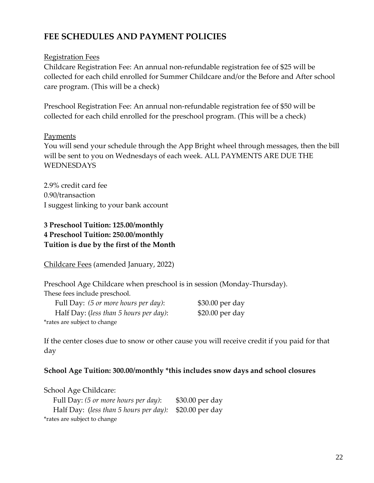# **FEE SCHEDULES AND PAYMENT POLICIES**

## Registration Fees

Childcare Registration Fee: An annual non-refundable registration fee of \$25 will be collected for each child enrolled for Summer Childcare and/or the Before and After school care program. (This will be a check)

Preschool Registration Fee: An annual non-refundable registration fee of \$50 will be collected for each child enrolled for the preschool program. (This will be a check)

## Payments

You will send your schedule through the App Bright wheel through messages, then the bill will be sent to you on Wednesdays of each week. ALL PAYMENTS ARE DUE THE WEDNESDAYS

2.9% credit card fee 0.90/transaction I suggest linking to your bank account

# **3 Preschool Tuition: 125.00/monthly 4 Preschool Tuition: 250.00/monthly Tuition is due by the first of the Month**

Childcare Fees (amended January, 2022)

Preschool Age Childcare when preschool is in session (Monday-Thursday). These fees include preschool.

| Full Day: (5 or more hours per day):   | $$30.00$ per day |
|----------------------------------------|------------------|
| Half Day: (less than 5 hours per day): | $$20.00$ per day |
| *rates are subject to change           |                  |

If the center closes due to snow or other cause you will receive credit if you paid for that day

## **School Age Tuition: 300.00/monthly \*this includes snow days and school closures**

School Age Childcare:

 Full Day: *(5 or more hours per day)*: \$30.00 per day Half Day: (*less than 5 hours per day):* \$20.00 per day \*rates are subject to change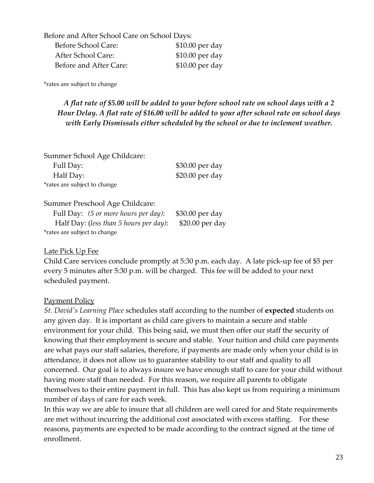| Before and After School Care on School Days: |                  |  |
|----------------------------------------------|------------------|--|
| Before School Care:                          | \$10.00 per day  |  |
| After School Care:                           | \$10.00 per day  |  |
| Before and After Care:                       | $$10.00$ per day |  |

\*rates are subject to change

# *A flat rate of \$5.00 will be added to your before school rate on school days with a 2 Hour Delay. A flat rate of \$16.00 will be added to your after school rate on school days with Early Dismissals either scheduled by the school or due to inclement weather.*

| Summer School Age Childcare: |                  |
|------------------------------|------------------|
| Full Day:                    | \$30.00 per day  |
| Half Day:                    | $$20.00$ per day |
| *rates are subject to change |                  |

#### Summer Preschool Age Childcare:

| Full Day: (5 or more hours per day):   | \$30.00 per day |
|----------------------------------------|-----------------|
| Half Day: (less than 5 hours per day): | \$20.00 per day |
| *rates are subject to change           |                 |

#### Late Pick Up Fee

Child Care services conclude promptly at 5:30 p.m. each day. A late pick-up fee of \$5 per every 5 minutes after 5:30 p.m. will be charged. This fee will be added to your next scheduled payment.

#### **Payment Policy**

*St. David's Learning Place* schedules staff according to the number of **expected** students on any given day. It is important as child care givers to maintain a secure and stable environment for your child. This being said, we must then offer our staff the security of knowing that their employment is secure and stable. Your tuition and child care payments are what pays our staff salaries, therefore, if payments are made only when your child is in attendance, it does not allow us to guarantee stability to our staff and quality to all concerned. Our goal is to always insure we have enough staff to care for your child without having more staff than needed. For this reason, we require all parents to obligate themselves to their entire payment in full. This has also kept us from requiring a minimum number of days of care for each week.

In this way we are able to insure that all children are well cared for and State requirements are met without incurring the additional cost associated with excess staffing. For these reasons, payments are expected to be made according to the contract signed at the time of enrollment.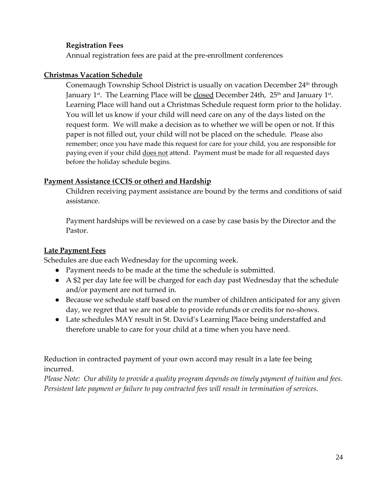## **Registration Fees**

Annual registration fees are paid at the pre-enrollment conferences

## **Christmas Vacation Schedule**

Conemaugh Township School District is usually on vacation December 24<sup>th</sup> through January 1st. The Learning Place will be <u>closed</u> December 24th, 25<sup>th</sup> and January 1st. Learning Place will hand out a Christmas Schedule request form prior to the holiday. You will let us know if your child will need care on any of the days listed on the request form. We will make a decision as to whether we will be open or not. If this paper is not filled out, your child will not be placed on the schedule. Please also remember; once you have made this request for care for your child, you are responsible for paying even if your child does not attend. Payment must be made for all requested days before the holiday schedule begins.

# **Payment Assistance (CCIS or other) and Hardship**

Children receiving payment assistance are bound by the terms and conditions of said assistance.

Payment hardships will be reviewed on a case by case basis by the Director and the Pastor.

# **Late Payment Fees**

Schedules are due each Wednesday for the upcoming week.

- Payment needs to be made at the time the schedule is submitted.
- A \$2 per day late fee will be charged for each day past Wednesday that the schedule and/or payment are not turned in.
- Because we schedule staff based on the number of children anticipated for any given day, we regret that we are not able to provide refunds or credits for no-shows.
- Late schedules MAY result in St. David's Learning Place being understaffed and therefore unable to care for your child at a time when you have need.

Reduction in contracted payment of your own accord may result in a late fee being incurred.

*Please Note: Our ability to provide a quality program depends on timely payment of tuition and fees. Persistent late payment or failure to pay contracted fees will result in termination of services.*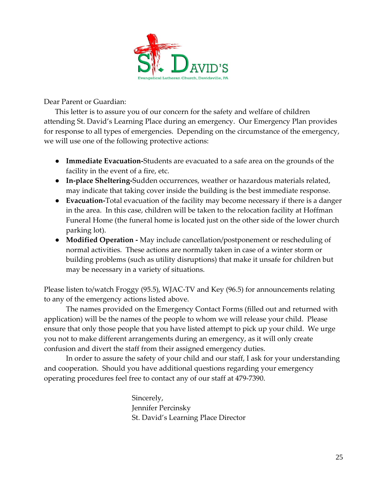

Dear Parent or Guardian:

This letter is to assure you of our concern for the safety and welfare of children attending St. David's Learning Place during an emergency. Our Emergency Plan provides for response to all types of emergencies. Depending on the circumstance of the emergency, we will use one of the following protective actions:

- **Immediate Evacuation-**Students are evacuated to a safe area on the grounds of the facility in the event of a fire, etc.
- **In-place Sheltering-**Sudden occurrences, weather or hazardous materials related, may indicate that taking cover inside the building is the best immediate response.
- **Evacuation-**Total evacuation of the facility may become necessary if there is a danger in the area. In this case, children will be taken to the relocation facility at Hoffman Funeral Home (the funeral home is located just on the other side of the lower church parking lot).
- **Modified Operation -** May include cancellation/postponement or rescheduling of normal activities. These actions are normally taken in case of a winter storm or building problems (such as utility disruptions) that make it unsafe for children but may be necessary in a variety of situations.

Please listen to/watch Froggy (95.5), WJAC-TV and Key (96.5) for announcements relating to any of the emergency actions listed above.

The names provided on the Emergency Contact Forms (filled out and returned with application) will be the names of the people to whom we will release your child. Please ensure that only those people that you have listed attempt to pick up your child. We urge you not to make different arrangements during an emergency, as it will only create confusion and divert the staff from their assigned emergency duties.

In order to assure the safety of your child and our staff, I ask for your understanding and cooperation. Should you have additional questions regarding your emergency operating procedures feel free to contact any of our staff at 479-7390.

> Sincerely, Jennifer Percinsky St. David's Learning Place Director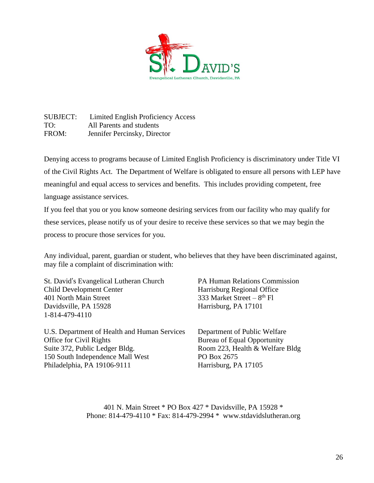

SUBJECT: Limited English Proficiency Access TO: All Parents and students FROM: Jennifer Percinsky, Director

Denying access to programs because of Limited English Proficiency is discriminatory under Title VI of the Civil Rights Act. The Department of Welfare is obligated to ensure all persons with LEP have meaningful and equal access to services and benefits. This includes providing competent, free language assistance services.

If you feel that you or you know someone desiring services from our facility who may qualify for these services, please notify us of your desire to receive these services so that we may begin the process to procure those services for you.

Any individual, parent, guardian or student, who believes that they have been discriminated against, may file a complaint of discrimination with:

St. David's Evangelical Lutheran Church PA Human Relations Commission Child Development Center Harrisburg Regional Office 401 North Main Street  $333$  Market Street –  $8<sup>th</sup>$  Fl Davidsville, PA 15928 Harrisburg, PA 17101 1-814-479-4110

U.S. Department of Health and Human Services Department of Public Welfare Office for Civil Rights Bureau of Equal Opportunity Suite 372, Public Ledger Bldg. Room 223, Health & Welfare Bldg 150 South Independence Mall West PO Box 2675 Philadelphia, PA 19106-9111 Harrisburg, PA 17105

401 N. Main Street \* PO Box 427 \* Davidsville, PA 15928 \* Phone: 814-479-4110 \* Fax: 814-479-2994 \* www.stdavidslutheran.org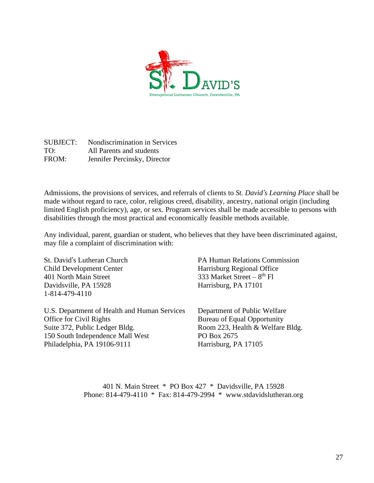

SUBJECT: Nondiscrimination in Services TO: All Parents and students FROM: Jennifer Percinsky, Director

Admissions, the provisions of services, and referrals of clients to *St. David's Learning Place* shall be made without regard to race, color, religious creed, disability, ancestry, national origin (including limited English proficiency), age, or sex. Program services shall be made accessible to persons with disabilities through the most practical and economically feasible methods available.

Any individual, parent, guardian or student, who believes that they have been discriminated against, may file a complaint of discrimination with:

Child Development Center Harrisburg Regional Office 401 North Main Street  $333$  Market Street –  $8<sup>th</sup>$  Fl Davidsville, PA 15928 Harrisburg, PA 17101 1-814-479-4110

U.S. Department of Health and Human Services Department of Public Welfare Office for Civil Rights Bureau of Equal Opportunity Suite 372, Public Ledger Bldg. Room 223, Health & Welfare Bldg. 150 South Independence Mall West PO Box 2675 Philadelphia, PA 19106-9111 Harrisburg, PA 17105

St. David's Lutheran Church PA Human Relations Commission

401 N. Main Street \* PO Box 427 \* Davidsville, PA 15928 Phone: 814-479-4110 \* Fax: 814-479-2994 \* www.stdavidslutheran.org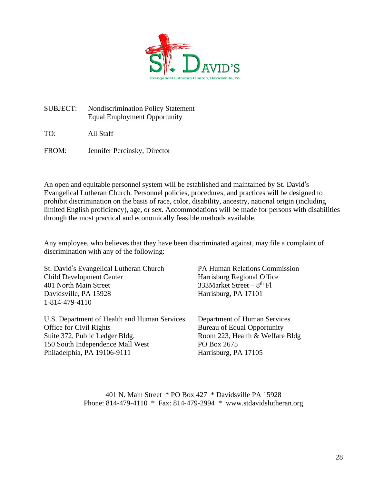

SUBJECT: Nondiscrimination Policy Statement Equal Employment Opportunity

TO: All Staff

FROM: Jennifer Percinsky, Director

An open and equitable personnel system will be established and maintained by St. David's Evangelical Lutheran Church. Personnel policies, procedures, and practices will be designed to prohibit discrimination on the basis of race, color, disability, ancestry, national origin (including limited English proficiency), age, or sex. Accommodations will be made for persons with disabilities through the most practical and economically feasible methods available.

Any employee, who believes that they have been discriminated against, may file a complaint of discrimination with any of the following:

St. David's Evangelical Lutheran Church PA Human Relations Commission Child Development Center Harrisburg Regional Office 401 North Main Street  $333M$ arket Street –  $8<sup>th</sup>$  Fl Davidsville, PA 15928 Harrisburg, PA 17101 1-814-479-4110

U.S. Department of Health and Human Services Department of Human Services Office for Civil Rights Bureau of Equal Opportunity Suite 372, Public Ledger Bldg. Room 223, Health & Welfare Bldg 150 South Independence Mall West PO Box 2675 Philadelphia, PA 19106-9111 Harrisburg, PA 17105

401 N. Main Street \* PO Box 427 \* Davidsville PA 15928 Phone: 814-479-4110 \* Fax: 814-479-2994 \* www.stdavidslutheran.org